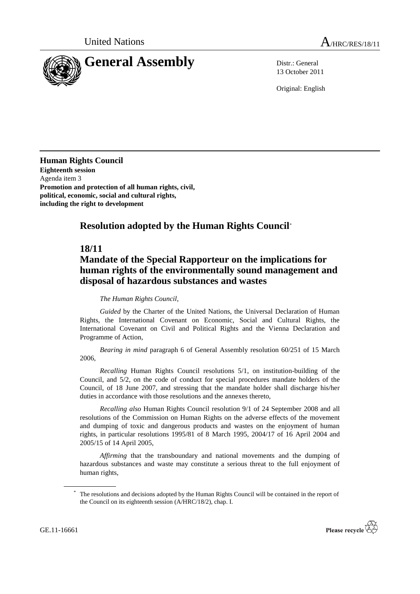

13 October 2011

Original: English

**Human Rights Council Eighteenth session** Agenda item 3 **Promotion and protection of all human rights, civil, political, economic, social and cultural rights, including the right to development**

## **Resolution adopted by the Human Rights Council**\*

## **18/11**

## **Mandate of the Special Rapporteur on the implications for human rights of the environmentally sound management and disposal of hazardous substances and wastes**

## *The Human Rights Council*,

*Guided* by the Charter of the United Nations, the Universal Declaration of Human Rights, the International Covenant on Economic, Social and Cultural Rights, the International Covenant on Civil and Political Rights and the Vienna Declaration and Programme of Action,

*Bearing in mind* paragraph 6 of General Assembly resolution 60/251 of 15 March 2006,

*Recalling* Human Rights Council resolutions 5/1, on institution-building of the Council, and 5/2, on the code of conduct for special procedures mandate holders of the Council, of 18 June 2007, and stressing that the mandate holder shall discharge his/her duties in accordance with those resolutions and the annexes thereto,

*Recalling also* Human Rights Council resolution 9/1 of 24 September 2008 and all resolutions of the Commission on Human Rights on the adverse effects of the movement and dumping of toxic and dangerous products and wastes on the enjoyment of human rights, in particular resolutions 1995/81 of 8 March 1995, 2004/17 of 16 April 2004 and 2005/15 of 14 April 2005,

*Affirming* that the transboundary and national movements and the dumping of hazardous substances and waste may constitute a serious threat to the full enjoyment of human rights,



The resolutions and decisions adopted by the Human Rights Council will be contained in the report of the Council on its eighteenth session (A/HRC/18/2), chap. I.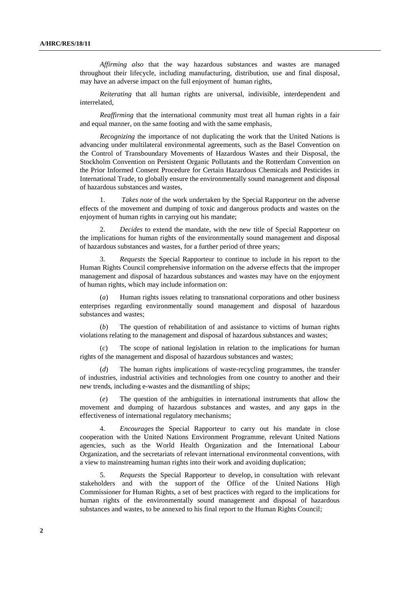*Affirming also* that the way hazardous substances and wastes are managed throughout their lifecycle, including manufacturing, distribution, use and final disposal, may have an adverse impact on the full enjoyment of human rights,

*Reiterating* that all human rights are universal, indivisible, interdependent and interrelated,

*Reaffirming* that the international community must treat all human rights in a fair and equal manner, on the same footing and with the same emphasis,

*Recognizing* the importance of not duplicating the work that the United Nations is advancing under multilateral environmental agreements, such as the Basel Convention on the Control of Transboundary Movements of Hazardous Wastes and their Disposal, the Stockholm Convention on Persistent Organic Pollutants and the Rotterdam Convention on the Prior Informed Consent Procedure for Certain Hazardous Chemicals and Pesticides in International Trade, to globally ensure the environmentally sound management and disposal of hazardous substances and wastes,

1. *Takes note* of the work undertaken by the Special Rapporteur on the adverse effects of the movement and dumping of toxic and dangerous products and wastes on the enjoyment of human rights in carrying out his mandate;

2. *Decides* to extend the mandate, with the new title of Special Rapporteur on the implications for human rights of the environmentally sound management and disposal of hazardous substances and wastes, for a further period of three years;

3. *Requests* the Special Rapporteur to continue to include in his report to the Human Rights Council comprehensive information on the adverse effects that the improper management and disposal of hazardous substances and wastes may have on the enjoyment of human rights, which may include information on:

(*a*) Human rights issues relating to transnational corporations and other business enterprises regarding environmentally sound management and disposal of hazardous substances and wastes;

(*b*) The question of rehabilitation of and assistance to victims of human rights violations relating to the management and disposal of hazardous substances and wastes;

The scope of national legislation in relation to the implications for human rights of the management and disposal of hazardous substances and wastes;

(*d*) The human rights implications of waste-recycling programmes, the transfer of industries, industrial activities and technologies from one country to another and their new trends, including e-wastes and the dismantling of ships;

(*e*) The question of the ambiguities in international instruments that allow the movement and dumping of hazardous substances and wastes, and any gaps in the effectiveness of international regulatory mechanisms;

4. *Encourages* the Special Rapporteur to carry out his mandate in close cooperation with the United Nations Environment Programme, relevant United Nations agencies, such as the World Health Organization and the International Labour Organization, and the secretariats of relevant international environmental conventions, with a view to mainstreaming human rights into their work and avoiding duplication;

5. *Requests* the Special Rapporteur to develop, in consultation with relevant stakeholders and with the support of the Office of the United Nations High Commissioner for Human Rights, a set of best practices with regard to the implications for human rights of the environmentally sound management and disposal of hazardous substances and wastes, to be annexed to his final report to the Human Rights Council;